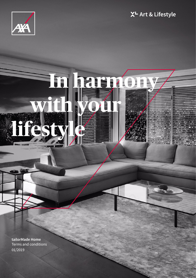



# **In harmony with your**  lifes

**tailorMade Home** Terms and conditions 01/2019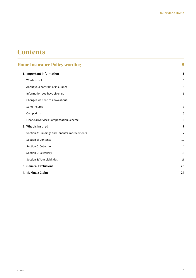# **Contents**

| <b>Home Insurance Policy wording</b>           | 5              |
|------------------------------------------------|----------------|
| 1. Important Information                       | 5              |
| Words in bold                                  | 5              |
| About your contract of insurance               | 5              |
| Information you have given us                  | 5              |
| Changes we need to know about                  | 5              |
| Sums insured                                   | 6              |
| Complaints                                     | 6              |
| <b>Financial Services Compensation Scheme</b>  | 6              |
| 2. What is Insured                             | $\overline{7}$ |
| Section A: Buildings and Tenant's Improvements | $\overline{7}$ |
| Section B: Contents                            | 10             |
| Section C: Collection                          | 14             |
| Section D: Jewellery                           | 16             |
| Section E: Your Liabilities                    | 17             |
| 3. General Exclusions                          | 20             |
| 4. Making a Claim                              | 24             |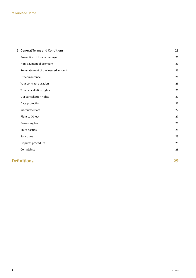| 5. General Terms and Conditions      | 26 |
|--------------------------------------|----|
| Prevention of loss or damage         | 26 |
| Non-payment of premium               | 26 |
| Reinstatement of the insured amounts | 26 |
| Other insurance                      | 26 |
| Your contract duration               | 26 |
| Your cancellation rights             | 26 |
| Our cancellation rights              | 27 |
| Data protection                      | 27 |
| Inaccurate Data                      | 27 |
| Right to Object                      | 27 |
| Governing law                        | 28 |
| Third parties                        | 28 |
| Sanctions                            | 28 |
| Disputes procedure                   | 28 |
| Complaints                           | 28 |
| <b>Definitions</b>                   | 29 |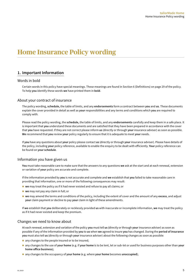# <span id="page-3-0"></span>**Home Insurance Policy wording**

# **1. Important Information**

# Words in bold

Certain words in this policy have special meanings. These meanings are found in Section 6 (Definitions) on page 29 of the policy. To help **you** identify these words **we** have printed them in **bold**.

# About your contract of insurance

The policy wording, **schedule,** the table of limits, and any **endorsements** form a contract between **you** and **us**. These documents explain the cover provided in detail as well as **your** responsibilities and any terms and conditions which **you** are required to comply with.

Please read the policy wording, the **schedule,** the table of limits, and any **endorsements** carefully and keep them in a safe place. It is important that **you** understand these documents and are satisfied that they have been prepared in accordance with the cover that **you** have requested. If they are not correct please inform **us** (directly or through **your** insurance adviser) as soon as possible. **We** recommend that **you** review **your** policy regularly to ensure that it is adequate to meet **your** needs.

If **you** have any questions about **your** policy please contact **us** (directly or through **your** insurance adviser). Please have details of the policy, including **your** policy reference, available to enable the enquiry to be dealt with efficiently. **Your** policy reference can be found on **your schedule**.

# Information you have given us

**You** must take reasonable care to make sure that the answers to any questions **we** ask at the start and at each renewal, extension or variation of **your** policy are accurate and complete.

If the information provided by **you** is not accurate and complete and **we** establish that **you** failed to take reasonable care in providing that information, one or more of the following consequences may result:

- **we** may treat the policy as if it had never existed and refuse to pay all claims; or
- **n** we may not pay any claim in full; or
- n **we** may amend the terms and conditions of the policy, including the extent of cover and the amount of any **excess**, and adjust **your** claim payment or decline to pay **your** claim in light of these amendments.

If **we** establish that **you** deliberately or recklessly provided **us** with inaccurate or incomplete information, **we** may treat the policy as if it had never existed and keep the premium.

# Changes we need to know about

At each renewal, extension and variation of the policy **you** must tell **us** (directly or through **your** insurance adviser) as soon as possible if any of the information provided by **you** to **us** when **we** agreed to insure **you** has changed. During the **period of insurance you** must also tell **us** (directly or through **your** insurance adviser) about the following changes as soon as possible:

- $\blacksquare$  any changes to the people insured or to be insured;
- n any changes to the use of **your home** (e.g. if **your home** is to be lent, let or sub-let or used for business purposes other than **your home office business**);
- any changes to the occupancy of your home (e.g. where your home becomes unoccupied);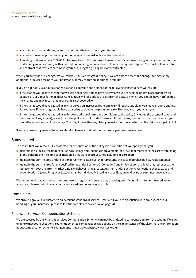- <span id="page-4-0"></span>■ any changes to locks, alarms, safes or other security measures in your home;
- any reduction in the protection at **your home** against the risk of fire or fire spread; or
- n if building work exceeding £100,000 is to take place to the **buildings**. **You** must tell **us** before entering into any contract for the works and **you** must comply with any condition relating to prevention of **loss** or damage **we** impose. **You** must not enter into any contract that restricts or removes **your** or **our** legal rights against any contractor.

When **you** notify **us** of a change, **we** will tell **you** if this affects **your** policy. If **we** are able to accept the change, **we** may apply additional or revised terms to your policy and/or may charge an additional premium.

If **you** do not notify **us** about a change as soon as possible one or more of the following consequences will result:

- n if the change would have meant that **we** were no longer able to provide cover, **we** will cancel the policy in accordance with Section 5 (Our Cancellation Rights). Cancellation will take effect 14 days from the date on which **you** should have notified **us** of the change and may mean that **your** claim is not covered; or
- n if the change would have caused **us** to charge **you** an increased premium, **we** will reduce any claim **you** make proportionately. For example, if the change would have caused **us** to double the premium, **we** will only pay half **your** claim; or
- n if the change would have caused **us** to impose additional terms and conditions to the policy (including the extent of cover and the amount of any **excess**), **we** will treat the policy as if it included those additional terms, starting on the date on which **you** should have notified **us** of the change. This might mean that any claim **you** make is not covered or that the claim is not paid in full.

If **you** are unsure if **you** need to tell **us** about a change **you** should contact **us** or **your** insurance adviser.

# Sums insured

To ensure that **you** remain fully protected for the duration of the policy it is a condition of **your** policy that **you**:

- n maintain the sum insured under Section A (Buildings and Tenant's Improvements) at a level that represents the cost of rebuilding all the **buildings** to the same specification if they were destroyed, not including **expert costs**;
- n maintain the sum insured under Section B (Contents) at a level that represents the cost of purchasing new replacements;
- n maintain the sum insured for unspecified items under Sections C (Collection) and D (Jewellery) at a level that represents the replacement cost or current **market value**, whichever is the greater. Any item under Section C (Collection) over £30,000 and under Section D (Jewellery) over £20,000 must be individually listed in a specification held by **us** or **your** insurance adviser.

**We** recommend that **you** review the sums insured regularly to ensure they are adequate. If **you** think the sums insured are not adequate, please contact **us** or **your** insurance adviser as soon as possible.

# Complaints

**We** strive to give all **our** customers an excellent standard of service. However if **you** are dissatisfied with any aspect of **our** handling of **your** insurance, please follow the complaints procedure on page 28.

# Financial Services Compensation Scheme

**We** are covered by the Financial Services Compensation Scheme. **You** may be entitled to compensation from the scheme if **we** are unable to meet **our** obligations. **Your** entitlement to compensation will depend on the circumstances of the claim. Further information about compensation scheme arrangements is available at http://www.fscs.org.uk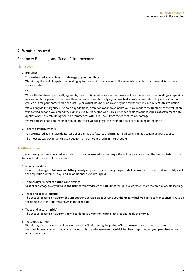# <span id="page-5-0"></span>**2. What is Insured**

# Section A: Buildings and Tenant's Improvements

#### **Main cover**

#### **1. Building**s

**You** are insured against **loss** of or damage to **your buildings**.

**We** will pay the cost of repair or rebuilding up to the sum insured shown in the **schedule** provided that the work is carried out without delay.

or

Where this has been specifically agreed by **us** and it is noted in **your schedule we** will pay the full cost of rebuilding or repairing any **loss** or damage even if it is more than the sum insured but only if **you** have had a professional rebuilding cost valuation carried out for **your home** within the last 3 years which has been approved by **us** and the sum insured reflects this valuation. **We** will only do this if **you** tell **us** about any additions, alterations or improvements **you** have made to the **home** since the valuation was carried out and **you** amend the sum insured to reflect the work. This extended replacement cost basis of settlement only applies where any rebuilding or repair commences within 180 days from the date of **loss** or damage.

Where **you** are unable to repair or rebuild, the most **we** will pay is the estimated cost of rebuilding or repairing.

#### **2. Tenant's improvements**

**You** are insured against accidental **loss** of or damage to fixtures and fittings installed by **you** as a tenant at your expense. The most **we** will pay under this sub-section is the amount shown in the **schedule**.

#### **Additional cover**

The following items are covered in addition to the sum insured for **buildings**. **We** will not pay more than the amount listed in the table of limits for each of these items:

#### **1. New acquisitions**

**Loss** of or damage to **fixtures and fittings** newly acquired by **you** during the **period of insurance** provided that **you** notify **us** of the acquisition within 90 days and an additional premium is paid.

#### **2. Temporary removal of fixtures and fittings**

**Loss** of or damage to any **fixtures and fittings** removed from the **buildings** for up to 90 days for repair, restoration or safekeeping.

#### **3. Trace and access (outside)**

The cost of locating a leak from the underground service pipes serving **your home** for which **you** are legally responsible outside the home but at the address shown in the **schedule**.

#### **4. Trace and access (inside)**

The cost of locating a leak from **your** fixed domestic water or heating installations inside the **home**.

#### **5. Trespass clean-up**

**We** will pay up to the amount shown in the table of limits during the **period of insurance** to cover the necessary and reasonable cost incurred by **you** in removing rubbish and waste material which has been deposited on **your premises** without **your** permission.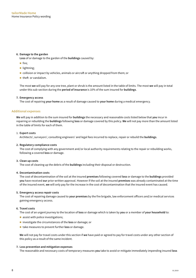#### **6. Damage to the garden**

**Loss** of or damage to the garden of the **buildings** caused by:

- $\blacksquare$  fire;
- $\blacksquare$  lightning;
- collision or impact by vehicles, animals or aircraft or anything dropped from them; or
- $\blacksquare$  theft or vandalism.

The most **we** will pay for any one tree, plant or shrub is the amount listed in the table of limits. The most **we** will pay in total under this sub-section during the **period of insurance** is 10% of the sum insured for **buildings**.

#### **7. Emergency access**

The cost of repairing **your home** as a result of damage caused to **your home** during a medical emergency.

#### **Additional expenses**

**We** will pay in addition to the sum insured for **buildings** the necessary and reasonable costs listed below that **you** incur in repairing or rebuilding the **buildings** following **loss** or damage covered by this policy. **We** will not pay more than the amount listed in the table of limits for each of them.

#### 1. **Expert costs**

Architects', surveyors', consulting engineers' and legal fees incurred to replace, repair or rebuild the **buildings**.

#### **2. Regulatory compliance costs**

The cost of complying with any government and/or local authority requirements relating to the repair or rebuilding works, following a covered **loss** or damage.

#### **3. Clean up costs**

The cost of cleaning up the debris of the **buildings** including their disposal or destruction.

#### **4. Decontamination costs**

The cost of decontamination of the soil at the insured **premises** following covered **loss** or damage to the **buildings** provided **you** have received **our** prior written approval. However if the soil at the insured **premises** was already contaminated at the time of the insured event, **we** will only pay for the increase in the cost of decontamination that the insured event has caused.

#### **5. Emergency access repair costs**

The cost of repairing damage caused to **your premises** by the fire brigade, law enforcement officers and/or medical services gaining emergency access.

#### **6. Travel costs**

The cost of an urgent journey to the location of **loss** or damage which is taken by **you** or a member of **your household** to:

- $\blacksquare$  assist with police investigations;
- n investigate the circumstances of the **loss** or damage; or
- n take measures to prevent further **loss** or damage.

**We** will not pay for travel costs under this section if **we** have paid or agreed to pay for travel costs under any other section of this policy as a result of the same incident.

#### **7. Loss prevention and mitigation expenses**

The reasonable and necessary costs of temporary measures **you** take to avoid or mitigate immediately impending insured **loss**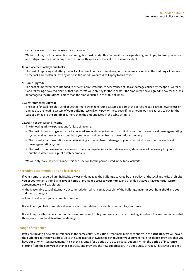or damage, even if those measures are unsuccessful.

**We** will not pay for loss prevention and mitigation costs under this section if **we** have paid or agreed to pay for loss prevention and mitigation costs under any other section of this policy as a result of the same incident.

#### **8. Replacement of keys and locks**

The cost of replacing and fitting the locks of external doors and windows, intruder alarms or **safes** at the **buildings** if any keys to the locks are stolen or lost anywhere in the world. No **excess** will apply to this cover.

#### **9. Home upgrade**

The cost of improvements intended to prevent or mitigate future occurrences of **loss** or damage caused by escape of water or flood following a covered claim of that nature. **We** will only pay for these costs if the amount **we** have agreed to pay for the **loss** or damage to the **buildings** is more than the amount listed in the table of limits.

#### **10. Environmental upgrade**

The cost of installing solar, wind or geothermal power generating systems as part of the agreed repair costs following **loss** or damage to the heating system of **your building**. **We** will only pay for these costs if the amount **we** have agreed to pay for the **loss** or damage to th**e buildings** is more than the amount listed in the table of limits.

#### **11. Utility expenses and income**

The following utility expenses and/or loss of income:

- n The cost of purchasing electricity if a covered **loss** or damage to your solar, wind or geothermal electrical power-generating system makes it necessary to purchase **your** electrical power from a power utility company.
- n The loss of **your** power utility income following a covered **loss** or damage to **your** solar, wind or geothermal electrical power-generating system.
- n The cost to purchase water if a covered **loss** or damage to **your** alternative water system makes it necessary for **you** to purchase water from a public water company.

**We** will only make payments under this sub-section for the period listed in the table of limits.

#### **Alternative accommodation and loss of rent**

If **your home** is rendered uninhabitable by **loss** or damage to the **buildings** covered by this policy, or the local authority prohibits **you** or **your** tenants from living in **your home** or prohibits access to **your home**, and provided that **you** have **our** prior written agreement, **we** will pay either:

- n the reasonable cost of alternative accommodation which **you** as occupier of the **buildings** incur for **your household** and **your** domestic pets; or
- **n** loss of rent which you are unable to recover.

**We** will help **you** to find suitable alternative accommodation of a similar standard to **your home**.

**We** will pay for alternative accommodation or loss of rent until **your home** can be occupied again subject to a maximum period of three years from the date of **loss** or damage.

#### **Change of residence**

If **you** are buying a new main residence in the same country as **your** current main residence shown in the **schedule**, **we** will cover the **buildings** at the new address up to the sum insured shown in the **schedule** for **your** current main residence, provided that **you** have **our** prior written agreement. This cover is granted for a period of up to 60 days, but only within the **period of insurance**, starting from the date **you** exchange contracts and provided the new **buildings** are in a good state of repair. This cover does not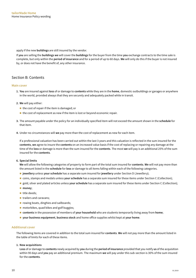<span id="page-8-0"></span>apply if the new **buildings** are still insured by the vendor.

If **you** are selling the **buildings we** will cover the **buildings** for the buyer from the time **you** exchange contracts to the time sale is complete, but only within the **period of insurance** and for a period of up to 60 days. **We** will only do this if the buyer is not insured by, or does not have the benefit of, any other insurance.

# Section B: Contents

#### **Main cover**

- **1. You** are insured against **loss** of or damage to **contents** while they are in the **home**, domestic outbuildings or garages or anywhere in the world, provided always that they are securely and adequately packed while in transit.
- **2. We** will pay either:
	- $\blacksquare$  the cost of repair if the item is damaged; or
	- $\blacksquare$  the cost of replacement as new if the item is lost or beyond economic repair.
- **3.** The amount payable under the policy for an individually specified item will not exceed the amount shown in the **schedule** for that item.
- **4.** Under no circumstances will **we** pay more than the cost of replacement as new for each item.

 If a professional valuation has been carried out within the last 3 years and this valuation is reflected in the sum insured for the **contents**, **we** agree to insure the **contents** on an increased value basis if the cost of replacing or repairing any damage at the time of the **loss** or damage is more than the sum insured for the **contents**. The most **we** will pay is an additional 25% of the sum insured for the **contents**.

#### **6. Special limits**

**We** will allow the following categories of property to form part of the total sum insured for **contents**. **We** will not pay more than the amount listed in the **schedule** for **loss** or damage to all items falling within each of the following categories.

- n **jewellery** unless **your schedule** has a separate sum insured for **jewellery** under Section D (Jewellery);
- n coins, stamps and medals unless **your schedule** has a separate sum insured for these items under Section C (Collection);
- n gold, silver and plated articles unless **your schedule** has a separate sum insured for these items under Section C (Collection);
- money;
- $\blacksquare$  title deeds;
- $\blacksquare$  trailers and caravans;
- $\blacksquare$  rowing boats, dinghies and sailboards;
- $\blacksquare$  motorbikes, quad bikes and golf buggies;
- n **contents** in the possession of members of **your household** who are students temporarily living away from **home**;
- n **your business equipment**, **business stock** and home office supplies whilst kept at **your home**.

#### **Additional cover**

The following items are covered in addition to the total sum insured for **contents**. **We** will not pay more than the amount listed in the table of limits for each of these items.

**1. New acquisitions**

**Loss** of or damage to **contents** newly acquired by **you** during the **period of insurance** provided that you notify **us** of the acquisition within 90 days and **you** pay an additional premium. The maximum **we** will pay under this sub-section is 30% of the sum insured for the **contents**.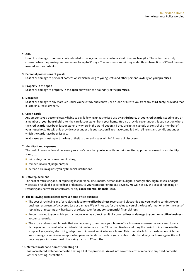#### **2. Gifts**

**Loss** of or damage to **contents** only intended to be in **your** possession for a short time, such as gifts. These items are only covered when they are in **your** possession for up to 90 days. The maximum **we** will pay under this sub-section is 30% of the sum insured for the **contents**.

#### **3. Personal possessions of guests**

**Loss** of or damage to personal possessions which belong to **your** guests and other persons lawfully on **your premises**.

#### **4. Property in the open**

**Loss** of or damage to **property in the open** but within the boundary of the **premises**.

#### **5. Marquees**

**Loss** of or damage to any marquee under **your** custody and control, or on loan or hire to **you** from any **third party**, provided that it is not insured elsewhere.

#### **6. Credit cards**

Any amounts **you** become legally liable to pay following unauthorised use by a **third party** of **your credit cards** issued to **you** or a member of **your household**, after they are lost or stolen from **your home**. **We** also provide cover under this sub-section where the **credit cards** have been lost or stolen anywhere in the world but only if they are in the custody or control of a member of **your household**. **We** will only provide cover under this sub-section if **you** have complied with all terms and conditions under which the cards have been issued.

In all cases **you** must report the **loss** or theft to the card issuer within 24 hours of discovery.

#### **7. Identity fraud expenses**

The cost of reasonable and necessary solicitor's fees that **you** incur with **our** prior written approval as a result of an **identity fraud**, to:

- **n** reinstate your consumer credit rating;
- **n** remove incorrect judgments; or
- n defend a claim against **you** by financial institutions.

#### **8. Data replacement**

The cost of retrieving and/or replacing lost personal documents, personal data, digital photographs, digital music or digital videos as a result of a covered **loss** or damage, to **your** computer or mobile devices. **We** will not pay the cost of replacing or restoring any hardware or software, or any **consequential financial loss**.

#### **9. The following costs related to your home office business**

- n The cost of retrieving and/or replacing lost **home office business** records and electronic data **you** need to continue **your** business, as a result of a covered **loss** or damage. **We** will not pay for the value to **you** of the lost information or for the cost of replacing or restoring any hardware or software, or for any **consequential financial loss**.
- n Amounts owed to **you** which **you** cannot recover as a direct result of a covered **loss** or damage to **your home office business** accounts records.
- n The extra and reasonable costs that are necessary to continue **your home office business** as a result of a covered **loss** or damage or as the result of an accidental failure for more than 72 consecutive hours during the **period of insurance** in the supply of gas, water, electricity, telephone or internet service to **your home**. This cover starts from the date on which the **loss**, damage or service interruption happens and ends on the date **you** are able to start work at **your home** again. **We** will only pay **your** increased cost of working for up to 12 months.

#### **10. Metered water and domestic heating oil**

**Loss** of metered water or domestic heating oil at the **premises**. **We** will not cover the cost of repairs to any fixed domestic water or heating installation.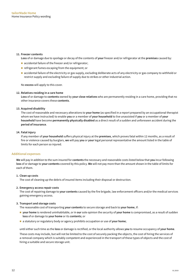#### **11. Freezer contents**

**Loss** of or damage due to spoilage or decay of the contents of **your** freezer and/or refrigerator at the **premises** caused by:

- accidental failure of the freezer and/or refrigerator;
- $\blacksquare$  refrigerant fumes escaping from the equipment; or
- n accidental failure of the electricity or gas supply, excluding deliberate acts of any electricity or gas company to withhold or restrict supply and excluding failure of supply due to strikes or other industrial action.

No **excess** will apply to this cover.

#### **12. Relatives residing in a care home**

**Loss** of or damage to **contents** owned by **your close relatives** who are permanently residing in a care home, providing that no other insurance covers these **contents**.

#### **13. Acquired disability**

The cost of reasonable and necessary alterations to **your home** (as specified in a report prepared by an occupational therapist whom we have instructed) to enable **you** or a member of **your household** to live unassisted if **you** or a member of **your household** have become **permanently physically disabled** as a direct result of a sudden and unforeseen accident during the **period of insurance**.

#### **14. Fatal injury**

If any member of **your household** suffers physical injury at the **premises**, which proves fatal within 12 months, as a result of fire or violence caused by burglars, **we** will pay **you** or **your** legal personal representative the amount listed in the table of limits for each person so injured.

#### **Additional expenses**

**We** will pay in addition to the sum insured for **contents** the necessary and reasonable costs listed below that **you** incur following **loss** of or damage to **your contents** covered by this policy. **We** will not pay more than the amount shown in the table of limits for each of them.

#### **1. Clean up costs**

The cost of cleaning up the debris of insured items including their disposal or destruction.

#### **2. Emergency access repair costs**

The cost of repairing damage to **your contents** caused by the fire brigade, law enforcement officers and/or the medical services gaining emergency access.

#### **3. Transport and storage costs**

The reasonable cost of transporting **your contents** to secure storage and back to **your home**, if:

- n **your home** is rendered uninhabitable, or in **our** sole opinion the security of **your home** is compromised, as a result of sudden **loss** of or damage to **your home** or its **contents**; or
- n a statutory or regulatory body or agency prohibits occupation or use of **your home**;

until either such time as the **loss** or damage is rectified, or the local authority allows **you** to resume occupancy of **your home**.

These costs may include, but will not be limited to the cost of securely packing the objects, the cost of hiring the services of a removal company which is suitably competent and experienced in the transport of these types of objects and the cost of hiring a suitable and secure storage unit.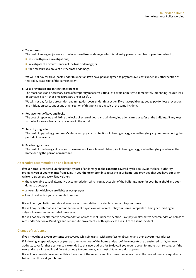#### **4. Travel costs**

The cost of an urgent journey to the location of **loss** or damage which is taken by **you** or a member of **your household** to:

- $\blacksquare$  assist with police investigations;
- n investigate the circumstances of the **loss** or damage; or
- n take measures to prevent further **loss** or damage.

**We** will not pay for travel costs under this section if **we** have paid or agreed to pay for travel costs under any other section of this policy as a result of the same incident.

#### **5. Loss prevention and mitigation expenses**

The reasonable and necessary costs of temporary measures **you** take to avoid or mitigate immediately impending insured loss or damage, even if those measures are unsuccessful.

**We** will not pay for loss prevention and mitigation costs under this section if **we** have paid or agreed to pay for loss prevention and mitigation costs under any other section of this policy as a result of the same incident.

#### **6. Replacement of keys and locks**

The cost of replacing and fitting the locks of external doors and windows, intruder alarms or **safes** at the **buildings** if any keys to the locks are stolen or lost anywhere in the world.

#### **7. Security upgrade**

The cost of upgrading **your home's** alarm and physical protections following an **aggravated burglary** at **your home** during the **period of insurance**.

#### **8. Psychological care**

The cost of psychological care **you** or a member of **your household** require following an **aggravated burglary** or a fire at the **home** during the **period of insurance**.

#### **Alternative accommodation and loss of rent**

If **your home** is rendered uninhabitable by **loss** of or damage to the **contents** covered by this policy, or the local authority prohibits **you** or **your tenants** from living in **your home** or prohibits access to **your home**, and provided that **you** have **our** prior written agreement, **we** will pay either:

- n the reasonable cost of alternative accommodation which **you** as occupier of the **buildings** incur for **your household** and **your** domestic pets; or
- **n** any rent for which **you** are liable as occupier; or
- **n** loss of rent which you are unable to recover.

**We** will help **you** to find suitable alternative accommodation of a similar standard to **your home**.

**We** will pay for alternative accommodation, rent payable or loss of rent until **your home** is capable of being occupied again subject to a maximum period of three years.

**We** will not pay for alternative accommodation or loss of rent under this section if **we** pay for alternative accommodation or loss of rent under Section A (Buildings and Tenant's Improvements) of this policy as a result of the same incident.

#### **Change of residence**

If **you** move house, **your contents** are covered whilst in transit with a professional carrier and then at **your** new address.

If, following a separation, **you** or **your** partner moves out of the **home** and part of the **contents** are transferred to his/her new address, cover for these **contents** is extended to this new address for 60 days. If **you** require cover for more than 60 days, or if the new address is located in a different country to **your home**, **you** must obtain our prior approval.

**We** will only provide cover under this sub-section if the security and fire prevention measures at the new address are equal to or better than those at **your home**.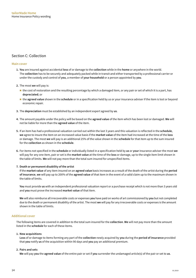# <span id="page-12-0"></span>Section C: Collection

#### **Main cover**

- **1. You** are insured against accidental **loss** of or damage to the **collection** while in the **home** or anywhere in the world. The **collection** has to be securely and adequately packed while in transit and either transported by a professional carrier or under the custody and control of **you**, a member of **your household** or a person appointed by **you**.
- **2.** The most **we** will pay is:
	- n the cost of restoration and the resulting percentage by which a damaged item, or any pair or set of which it is a part, has **depreciated**; or
	- n the **agreed value** shown in the **schedule** or in a specification held by us or your insurance adviser if the item is lost or beyond economic repair.
- **3.** The **depreciation** must be established by an independent expert agreed by **us**.
- **4.** The amount payable under the policy will be based on the **agreed value** of the item which has been lost or damaged. **We** will not be liable for more than the **agreed value** of the item.
- **5.** If an item has had a professional valuation carried out within the last 3 years and this valuation is reflected in the **schedule**, **we** agree to insure the item on an increased value basis if the **market value** of the item had increased at the time of the **loss** or damage. The most **we** will pay is an additional 25% of the value shown in the **schedule** for that item up to the sum insured for the **collection** as shown in the **schedule**.
- **6.** For items not specified in the **schedule** or individually listed in a specification held by **us** or **your** insurance adviser the most **we** will pay for any one item, pair or set is the **market value** at the time of the **loss** or damage, up to the single item limit shown in the table of limits. **We** will not pay more than the total sum insured for unspecified items.

#### **7. Death or permanent disability of the artist**

If the **market value** of any item insured on an **agreed value** basis increases as a result of the death of the artist during the **period of insurance**, **we** will pay up to 200% of the **agreed value** of that item in the event of a valid claim up to the maximum shown in the table of limits.

**You** must provide **us** with an independent professional valuation report or a purchase receipt which is not more than 3 years old and **you** must prove the increased **market value** of that item.

**We** will also reimburse all irrecoverable costs or expenses **you** have paid on works of art commissioned by **you** but not completed due to the death or permanent disability of the artist. The most **we** will pay for any irrecoverable costs or expenses is the amount shown in the table of limits.

#### **Additional cover**

The following items are covered in addition to the total sum insured for the **collection**. **We** will not pay more than the amount listed in the **schedule** for each of these items.

#### **1. New acquisitions**

**Loss** of or damage to items forming any part of the **collection** newly acquired by **you** during the **period of insurance** provided that **you** notify **us** of the acquisition within 90 days and **you** pay an additional premium.

#### **2. Pairs and sets**

**We** will pay **you** the **agreed value** of the entire pair or set if **you** surrender the undamaged article(s) of the pair or set to **us**.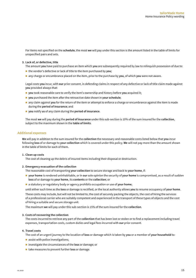For items not specified on the **schedule**, the most **we** will pay under this section is the amount listed in the table of limits for unspecified pairs and sets.

#### **3. Lack of, or defective, title**

The amount **you** have paid to purchase an item which **you** are subsequently required by law to relinquish possession of due to:

- the vendor's defective or lack of title to the item purchased by **you**:
- n any charge or encumbrance placed on the item, prior to the purchase by **you**, of which **you** were not aware.

Legal costs **you** incur, with **our** prior consent, in defending claims in respect of any defective or lack of title claim made against **you** provided always that:

- you took reasonable care to verify the item's ownership and history before you acquired it;
- you purchased the item after the retroactive date shown in your schedule;
- n any claim against **you** for the return of the item or attempt to enforce a charge or encumbrance against the item is made during the **period of insurance**; and
- n **you** notify **us** of any claim during the **period of insurance**.

The most **we** will pay during the **period of insurance** under this sub-section is 10% of the sum insured for the **collection**, subject to the maximum shown in the **table of limits**.

#### **Additional expenses**

**We** will pay in addition to the sum insured for the **collection** the necessary and reasonable costs listed below that **you** incur following **loss** of or damage to **your collection** which is covered under this policy. **We** will not pay more than the amount shown in the table of limits for each of them.

#### **1. Clean up costs**

The cost of cleaning up the debris of insured items including their disposal or destruction.

#### **2. Emergency evacuation of the collection**

The reasonable cost of transporting **your collection** to secure storage and back to **your home**, if:

- n **your home** is rendered uninhabitable, or in **our** sole opinion the security of **your home** is compromised, as a result of sudden **loss** of or damage to **your home**, its **contents** or the **collection**; or
- n a statutory or regulatory body or agency prohibits occupation or use of **your home**;

until either such time as the **loss** or damage is rectified, or the local authority allows **you** to resume occupancy of **your home**.

These costs may include, but will not be limited to, the cost of securely packing the objects, the cost of hiring the services of a professional carrier who are suitably competent and experienced in the transport of these types of objects and the cost of hiring a suitable and secure storage unit.

The maximum **we** will pay under this sub-section is 15% of the sum insured for the **collection**.

#### **3. Costs of recovering the collection**

The costs incurred to retrieve any part of the **collection** that has been lost or stolen or to find a replacement including travel expenses, transportation costs, custom duties and legal fees incurred with **our** prior consent.

#### **4. Travel costs**

The cost of an urgent journey to the location of **loss** or damage which is taken by **you** or a member of **your household** to:

- $\blacksquare$  assist with police investigations;
- n investigate the circumstances of the **loss** or damage; or
- n take measures to prevent further **loss** or damage.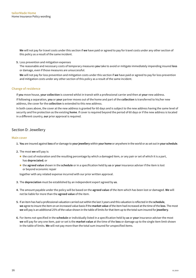<span id="page-14-0"></span>**We** will not pay for travel costs under this section if **we** have paid or agreed to pay for travel costs under any other section of this policy as a result of the same incident.

**5.** Loss prevention and mitigation expenses

The reasonable and necessary costs of temporary measures **you** take to avoid or mitigate immediately impending insured **loss** or damage, even if those measures are unsuccessful.

**We** will not pay for loss prevention and mitigation costs under this section if **we** have paid or agreed to pay for loss prevention and mitigation costs under any other section of this policy as a result of the same incident.

### **Change of residence**

If **you** move house, **your collection** is covered whilst in transit with a professional carrier and then at **your** new address.

If following a separation, **you** or **your** partner moves out of the home and part of the **collection** is transferred to his/her new address, the cover for the **collection** is extended to this new address.

In both cases above, the cover at the new address is granted for 60 days and is subject to the new address having the same level of security and fire protection as the existing **home**. If cover is required beyond the period of 60 days or if the new address is located in a different country, **our** prior approval is required.

# Section D: Jewellery

#### **Main cover**

- **1. You** are insured against **loss** of or damage to **your jewellery** within **your home** or anywhere in the world or as set out in **your schedule**.
- **2.** The most **we** will pay is:
	- n the cost of restoration and the resulting percentage by which a damaged item, or any pair or set of which it is a part, has **depreciated**; or
	- n the **agreed value** shown in the **schedule** or in a specification held by **us** or **your** insurance adviser if the item is lost or beyond economic repair

together with any related expense incurred with our prior written approval.

- **3.** The **depreciation** must be established by an independent expert agreed by **us**.
- **4.** The amount payable under the policy will be based on the **agreed value** of the item which has been lost or damaged. **We** will not be liable for more than the **agreed value** of the item.
- **5.** If an item has had a professional valuation carried out within the last 3 years and this valuation is reflected in the **schedule**, **we** agree to insure the item on an increased value basis if the **market value** of the item had increased at the time of the **loss**. The most **we** will pay is an additional 25% of the value shown in the table of limits for that item up to the total sum insured for **jewellery**.
- **6.** For items not specified in the **schedule** or individually listed in a specification held by **us** or **your** insurance adviser the most **we** will pay for any one item, pair or set is the **market value** at the time of the **loss** or damage up to the single item limit shown in the table of limits. **We** will not pay more than the total sum insured for unspecified items.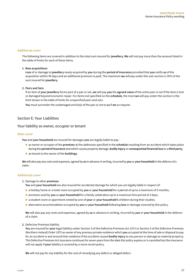#### <span id="page-15-0"></span>**Additional cover**

The following items are covered in addition to the total sum insured for **jewellery**. **We** will not pay more than the amount listed in the table of limits for each of these items.

#### **1. New acquisitions**

**Loss** of or damage to **jewellery** newly acquired by **you** during the **period of insurance** provided that **you** notify **us** of the acquisition within 90 days and an additional premium is paid. The maximum **we** will pay under this sub-section is 30% of the sum insured for **jewellery**.

#### **2. Pairs and Sets**

If an item of **your jewellery** forms part of a pair or set, **we** will pay **you** the **agreed value** of the entire pair or set if the item is lost or damaged beyond economic repair. For items not specified on the **schedule**, the most **we** will pay under this section is the limit shown in the table of limits for unspecified pairs and sets.

**You** must surrender the undamaged article(s) of the pair or set to **us** if **we** so request.

# Section E: Your Liabilities

#### Your liability as owner, occupier or tenant

#### **Main cover**

**You** and **your household** are insured for damages **you** are legally liable to pay:

- n as owner or occupier of the **premises** at the addresses specified in the **schedule** resulting from an accident which takes place during the **period of insurance** and which causes property damage, **bodily injury** or **consequential financial loss** to a **third party**;
- n as tenant to the owner of the **buildings**.

**We** will also pay any costs and expenses, agreed by **us** in advance in writing, incurred by **you** or **your household** in the defence of a claim.

#### **Additional cover**

**1.** Damage to other **premises**

**You** and **your household** are also insured for accidental damage for which you are legally liable in respect of:

- n a holiday home or a hotel room occupied by **you** or **your household** for a p**e**riod of up to a maximum of 3 months;
- n premises used by **you** or **your household** for a family celebration up to a maximum hire period of 3 days;
- n a student room or apartment rented by one of your or your household's children during their studies;
- n alternative accommodation occupied by **you** or **your household** following **loss** or damage covered by this policy.

**We** will also pay any costs and expenses, agreed by **us** in advance in writing, incurred by **you** or **your household** in the defence of a claim.

**2.** Defective Premises liability

**You** are insured for **your** legal liability under Section 3 of the Defective Premises Act 1972 or Section 5 of the Defective Premises (Northern Ireland) Order 1975 as owner of any previous private residence which **you** occupied at the time of sale or disposal to pay for an accident in and around that residence if the accident caused **bodily injury** to any person or damage to material property. This Defective Premises Act insurance continues for seven years from the date this policy expires or is cancelled but the insurance will not apply if **your** liability is covered by a more recent policy.

**We** will not pay for any liability for the cost of remedying any defect or alleged defect.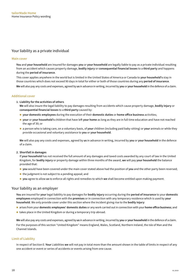# Your liability as a private individual

#### **Main cover**

**You** and **your household** are insured for damages **you** or **your household** are legally liable to pay as a private individual resulting from an accident which causes property damage, **bodily injury** or **consequential financial losses** to a **third party** and happens during the **period of insurance**.

This cover applies anywhere in the world but is limited in the United States of America or Canada to **your household's** stay in those countries which does not exceed 90 days in total for either or both of those countries during any **period of insurance**.

**We** will also pay any costs and expenses, agreed by **us** in advance in writing, incurred by **you** or **your household** in the defence of a claim.

#### **Additional cover**

**1. Liability for the activities of others**

**We** will also insure the legal liability to pay damages resulting from accidents which cause property damage, **bodily injury** or **consequential financial losses** to a **third party** caused by:

- n **your domestic employees** during the execution of their **domestic duties** or **home office business** activities;
- n **your** or **your household's** children that have left **your home** as long as they are in full time education and have not reached the age of 30; or
- n a person who is taking care, on a voluntary basis, of **your** children (including paid baby-sitting) or **your** animals or while they provide occasional and voluntary assistance to **you** or **your household**.

**We** will also pay any costs and expenses, agreed by **us** in advance in writing, incurred by **you** or **your household** in the defence of a claim.

#### **2. Shortfall in damages**

If **your household** has not received the full amount of any damages and taxed costs awarded by any court of law in the United Kingdom, for **bodily injury** or property damage within three months of the award, **we** will pay **your household** the balance provided that:

- **p** you would have been covered under the main cover stated above had the position of you and the other party been reversed;
- $\blacksquare$  the judgment is not subject to a pending appeal; and
- n **you** agree to allow **us** to enforce all rights and remedies to which **we** shall become entitled upon making payment.

# Your liability as an employer

**You** are insured for **your** legal liability to pay damages for **bodily injury** occurring during the **period of insurance** to your **domestic employees** employed in connection with the **premises** or in connection with any temporary residence which is used by **your household**. We only provide cover under this section where the incident giving rise to the **bodily injury**:

- n arises from your **domestic employees' domestic duties** or any work carried out in connection with your **home office business**; and
- $\blacksquare$  takes place in the United Kingdom or during a temporary trip abroad.

**We** will also pay any costs and expenses, agreed by **us** in advance in writing, incurred by **you** or **your household** in the defence of a claim. For the purposes of this section "United Kingdom" means England, Wales, Scotland, Northern Ireland, the Isle of Man and the Channel Islands.

#### **Limit of Liability**

In respect of Section E: **Your** Liabilities **we** will not pay in total more than the amount shown in the table of limits in respect of any one accident or event or series of accidents or events arising from one cause.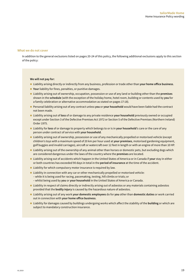#### **What we do not cover**

In addition to the general exclusions listed on pages 20-24 of this policy, the following additional exclusions apply to this section of the policy:

#### **We will not pay for:**

- n Liability arising directly or indirectly from any business, profession or trade other than **your home office business**.
- **Nour** liability for fines, penalties, or punitive damages.
- n Liability arising out of ownership, occupation, possession or use of any land or building other than the **premises** shown in the **schedule** (with the exception of the holiday home, hotel room, building or contents used by **you** for a family celebration or alternative accommodation as stated on pages 17-18).
- n Personal liability arising out of any contract unless **you** or **your household** would have been liable had the contract not been made.
- n Liability arising out of **loss** of or damage to any private residence **your household** previously owned or occupied except under Section 3 of the Defective Premises Act 1972 or Section 5 of the Defective Premises (Northern Ireland) Order 1975.
- n Liability for **loss** of or damage to property which belongs to or is in **your household**'s care or the care of any person under contract of service with **your household**.
- n Liability arising out of ownership, possession or use of any mechanically propelled or motorised vehicle (except children's toys with a maximum speed of 20 km per hour used at **your premises**, motorised gardening equipment, golf buggies and invalid carriages), aircraft or watercraft over 12 feet in length or with an engine of more than 10 HP.
- **I.** Liability arising out of the ownership of any animal other than horses or domestic pets, but excluding dogs which are considered dangerous under the laws of the country where the **premises** are located.
- n Liability arising out of accidents which happen in the United States of America or in Canada if **your** stay in either or both countries has exceeded 90 days in total in the **period of insurance** at the time of the accident.
- $\blacksquare$  Liability for which compulsory motor insurance is required by law.
- $\blacksquare$  Liability in connection with any car or other mechanically propelled or motorised vehicle: – while it is being used for racing, pacemaking, testing, hill climbs or trials; or – whilst being used by **you** or **your household** in the United States of America or Canada.
- $\blacksquare$  Liability in respect of claims directly or indirectly arising out of asbestos or any materials containing asbestos provided that the **bodily injury** is caused by the hazardous nature of asbestos.
- n Liability arising out of any work **your domestic employees** do for **you** other than **domestic duties** or work carried out in connection with **your home office business**.
- n Liability for damages caused by buildings undergoing works which affect the stability of the **building** or which are subject to mandatory construction insurance.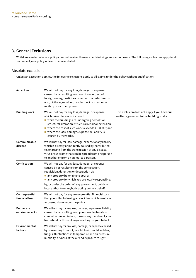# <span id="page-18-0"></span>**3. General Exclusions**

Whilst **we** aim to make **our** policy comprehensive, there are certain things **we** cannot insure. The following exclusions apply to all sections of **your** policy unless otherwise stated.

# Absolute exclusions

Unless an exception applies, the following exclusions apply to all claims under the policy without qualification:

| Acts of war                     | We will not pay for any loss, damage, or expense<br>caused by or resulting from war, invasion, act of<br>foreign enemy, hostilities (whether war is declared or<br>not), civil war, rebellion, revolution, insurrection or<br>military or usurped power.                                                                                                 |                                                                                           |
|---------------------------------|----------------------------------------------------------------------------------------------------------------------------------------------------------------------------------------------------------------------------------------------------------------------------------------------------------------------------------------------------------|-------------------------------------------------------------------------------------------|
| <b>Building work</b>            | We will not pay for any loss, damage, or expense<br>which takes place or is incurred:<br>while the buildings are undergoing demolition,<br>structural alteration, structural repair or extension;<br>where the cost of such works exceeds £100,000; and<br>where the loss, damage, expense or liability is<br>caused by the works.                       | This exclusion does not apply if you have our<br>written agreement to the building works. |
| Communicable<br>disease         | We will not pay for loss, damage, expense or any liability<br>which is directly or indirectly caused by, contributed<br>to, or arising from the transmission of any disease,<br>virus or syndrome that can be spread from one person<br>to another or from an animal to a person.                                                                        |                                                                                           |
| Confiscation                    | We will not pay for any loss, damage, or expense<br>caused by or resulting from the confiscation,<br>requisition, detention or destruction of:<br>any property belonging to you; or<br>any property for which you are legally responsible;<br>by, or under the order of, any government, public or<br>local authority or anybody acting on their behalf. |                                                                                           |
| Consequential<br>financial loss | We will not pay for any consequential financial loss<br>that you suffer following any incident which results in<br>a covered claim under the policy.                                                                                                                                                                                                     |                                                                                           |
| Deliberate<br>or criminal acts  | We will not pay for any loss, damage, expense or liability<br>caused by or resulting from your own deliberate or<br>criminal acts or omissions, those of any member of your<br>household or those of anyone acting on your behalf.                                                                                                                       |                                                                                           |
| Environmental<br>factors        | We will not pay for any loss, damage, or expense caused<br>by or resulting from rot, mould, toxic mould, mildew,<br>fungus, fluctuations in temperature and air pressure,<br>humidity, dryness of the air and exposure to light.                                                                                                                         |                                                                                           |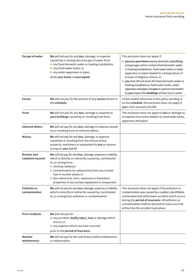| <b>Escape of water</b>                  | We will not pay for any loss, damage, or expense<br>caused by or arising out of escape of water from:<br>any fixed domestic water or heating installation;<br>any fixed water tanks; or<br>any water apparatus or pipes<br>while your home is unoccupied.                                                                                                 | This exclusion does not apply if:<br>you keep your home and any domestic outbuildings<br>and garages which contain fixed domestic water<br>or heating installations, fixed water tanks or water<br>apparatus or pipes heated to a temperature of<br>at least 10 degrees celsius; or<br>you shut off and drain the fixed domestic water or<br>heating installations, fixed water tanks, water<br>apparatus and pipes and you or a person nominated<br>by you inspect the buildings at least once a week. |
|-----------------------------------------|-----------------------------------------------------------------------------------------------------------------------------------------------------------------------------------------------------------------------------------------------------------------------------------------------------------------------------------------------------------|---------------------------------------------------------------------------------------------------------------------------------------------------------------------------------------------------------------------------------------------------------------------------------------------------------------------------------------------------------------------------------------------------------------------------------------------------------------------------------------------------------|
| <b>Excess</b>                           | We will not pay for the amount of any excess shown in<br>the schedule.                                                                                                                                                                                                                                                                                    | Unless stated otherwise in this policy wording or<br>on the schedule, this exclusion does not apply if<br>your claim exceeds £10,000.                                                                                                                                                                                                                                                                                                                                                                   |
| Frost                                   | We will not pay for any loss, damage or expense to<br>your buildings caused by or resulting from frost.                                                                                                                                                                                                                                                   | This exclusion does not apply to loss or damage to,<br>or expense incurred in relation to, fixed water tanks,<br>apparatus and pipes.                                                                                                                                                                                                                                                                                                                                                                   |
| Inherent defect                         | We will not pay for any loss, damage or expense caused<br>by or resulting from an inherent defect.                                                                                                                                                                                                                                                        |                                                                                                                                                                                                                                                                                                                                                                                                                                                                                                         |
| <b>Misuse</b>                           | We will not pay for any loss, damage, or expense<br>caused by or resulting from the misuse of any<br>property, machinery or equipment by you or anyone<br>acting on your behalf.                                                                                                                                                                          |                                                                                                                                                                                                                                                                                                                                                                                                                                                                                                         |
| <b>Nuclear and</b><br>radiation hazards | We will not pay for any loss, damage, expense or liability<br>which is directly or indirectly caused by, contributed<br>to, or arising from:<br>onising radiation;<br>contamination by radioactivity from any nuclear<br>fuel or nuclear waste; or<br>the radioactive, toxic, explosive or hazardous<br>properties of any nuclear equipment or component. |                                                                                                                                                                                                                                                                                                                                                                                                                                                                                                         |
| <b>Pollution or</b><br>contamination    | We will not pay for any loss, damage, expense or liability<br>which is directly or indirectly caused by, contributed<br>to, or arising from pollution or contamination.                                                                                                                                                                                   | This exclusion does not apply if the pollution or<br>contamination was caused by a sudden, identifiable,<br>unintended and unforeseen accident which occurs<br>during the <b>period of insurance</b> . All pollution or<br>contamination shall be deemed to have occurred<br>at the time the accident took place.                                                                                                                                                                                       |
| <b>Prior incidents</b>                  | We will not pay for:<br>any accident, bodily injury, loss or damage which<br>occurs; or<br>any expense which you have incurred;<br>prior to the period of insurance.                                                                                                                                                                                      |                                                                                                                                                                                                                                                                                                                                                                                                                                                                                                         |
| Routine<br>maintenance                  | We will not pay for the cost of any routine maintenance<br>or redecoration.                                                                                                                                                                                                                                                                               |                                                                                                                                                                                                                                                                                                                                                                                                                                                                                                         |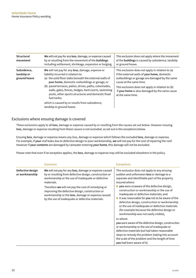| Structural<br>movement                     | We will not pay for any loss, damage, or expense caused<br>by or resulting from the movement of the buildings<br>including settlement, shrinkage, expansion or bulging.                                                                                                                                                                                                                                                                                                 | This exclusion does not apply where the movement<br>of the buildings is caused by subsidence, landslip<br>or ground heave.                                                                                                                                                                               |
|--------------------------------------------|-------------------------------------------------------------------------------------------------------------------------------------------------------------------------------------------------------------------------------------------------------------------------------------------------------------------------------------------------------------------------------------------------------------------------------------------------------------------------|----------------------------------------------------------------------------------------------------------------------------------------------------------------------------------------------------------------------------------------------------------------------------------------------------------|
| Subsidence,<br>landslip or<br>ground heave | We will not pay for any loss, damage, expense or<br>liability incurred in relation to:<br>(a) the solid floor slabs beneath the external walls of<br>your home, domestic outbuildings or garage; or<br>(b) paved terraces, patios, drives, paths, colonnades,<br>walls, gates, fences, hedges, hard courts, swimming<br>pools, other sports structures and domestic fixed<br>fuel tanks;<br>which is caused by or results from subsidence,<br>landslip or ground heave. | This exclusion does not apply in relation to (a)<br>if the external walls of your home, domestic<br>outbuildings or garage are damaged by the same<br>cause at the same time.<br>This exclusion does not apply in relation to (b)<br>if your home is also damaged by the same cause<br>at the same time. |

# Exclusions where ensuing damage is covered

These exclusions apply to all **loss**, damage or expense caused by or resulting from the causes set out below. However ensuing **loss**, damage or expense resulting from these causes is not excluded, as set out in the exceptions below.

Ensuing **loss**, damage or expense means any loss, damage or expense which follows the excluded **loss**, damage or expense. For example, if **your** roof leaks due to defective design or poor workmanship, **we** will not pay for the cost of repairing the roof. However if **your contents** are damaged by rainwater entering **your home**, this damage will not be excluded.

Please note that even if an exception applies, the **loss**, damage or expense may still be excluded elsewhere in the policy.

|                                    | <b>Exclusion</b>                                                                                                                                                                                                                                                                                                                                                                                      | <b>Exceptions</b>                                                                                                                                                                                                                                                                                                                                                                                                                                                                                                                                                                                                                                                                                                                                                                                                                                                        |
|------------------------------------|-------------------------------------------------------------------------------------------------------------------------------------------------------------------------------------------------------------------------------------------------------------------------------------------------------------------------------------------------------------------------------------------------------|--------------------------------------------------------------------------------------------------------------------------------------------------------------------------------------------------------------------------------------------------------------------------------------------------------------------------------------------------------------------------------------------------------------------------------------------------------------------------------------------------------------------------------------------------------------------------------------------------------------------------------------------------------------------------------------------------------------------------------------------------------------------------------------------------------------------------------------------------------------------------|
| Defective design<br>or workmanship | We will not pay for any loss, damage or expense caused<br>by or resulting from defective design, construction or<br>workmanship or the use of inadequate or defective<br>materials.<br>Therefore we will not pay the cost of remedying or<br>improving the defective design, construction or<br>workmanship or the loss, damage or expense caused<br>by the use of inadequate or defective materials. | This exclusion does not apply to any ensuing<br>sudden and unforeseen loss or damage to a<br>separate and identifiable part of the property<br>insured where:<br>$\blacksquare$ you were unaware of the defective design,<br>construction or workmanship or the use of<br>inadequate or defective materials; and<br>it was reasonable for you not to be aware of the<br>defective design, construction or workmanship<br>or the use of inadequate or defective materials<br>(for example because the defective design or<br>workmanship was not easily visible);<br>or where:<br>you were aware of the defective design, construction<br>or workmanship or the use of inadequate or<br>defective materials but had taken reasonable<br>steps to remedy the problem (taking into account<br>the scale of the problem and the length of time<br>you had been aware of it). |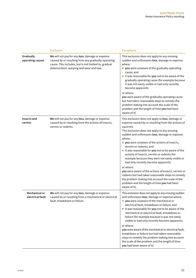|                                   | <b>Exclusion</b>                                                                                                                                                                                            | <b>Exceptions</b>                                                                                                                                                                                                                                                                                                                                                                                                                                                                                                                                                        |
|-----------------------------------|-------------------------------------------------------------------------------------------------------------------------------------------------------------------------------------------------------------|--------------------------------------------------------------------------------------------------------------------------------------------------------------------------------------------------------------------------------------------------------------------------------------------------------------------------------------------------------------------------------------------------------------------------------------------------------------------------------------------------------------------------------------------------------------------------|
| Gradually<br>operating causes     | We will not pay for any loss, damage or expense<br>caused by or resulting from any gradually operating<br>cause. This includes, but is not limited to, gradual<br>deterioration, warping and wear and tear. | This exclusion does not apply to any ensuing<br>sudden and unforeseen loss, damage or expense<br>where:<br>vou were unaware of the gradually operating<br>cause; and<br>it was reasonable for you not to be aware of the<br>gradually operating cause (for example because<br>it was not easily visible or had only recently<br>become apparent);                                                                                                                                                                                                                        |
|                                   |                                                                                                                                                                                                             | or where:<br>you were aware of the gradually operating cause<br>but had taken reasonable steps to remedy the<br>problem (taking into account the scale of the<br>problem and the length of time you had been<br>aware of it).                                                                                                                                                                                                                                                                                                                                            |
| Insects and<br>vermin             | We will not pay for any loss, damage or expense<br>caused by or resulting from the actions of insects,<br>vermin or rodents.                                                                                | This exclusion does not apply to loss, damage or<br>expense caused by or resulting from the actions of<br>squirrels.<br>This exclusion does not apply to any ensuing<br>sudden and unforeseen loss, damage or expense<br>where:<br>vou were unaware of the actions of insects,<br>vermin or rodents; and<br>it was reasonable for you not to be aware of the<br>actions of insects, vermin or rodents (for<br>example because they were not easily visible or<br>had only recently become apparent);<br>or where:<br>you were aware of the actions of insects, vermin or |
|                                   |                                                                                                                                                                                                             | rodents but had taken reasonable steps to remedy<br>the problem (taking into account the scale of the<br>problem and the length of time you had been<br>aware of it).                                                                                                                                                                                                                                                                                                                                                                                                    |
| Mechanical or<br>electrical fault | We will not pay for any loss, damage or expense<br>caused by or resulting from a mechanical or electrical<br>fault, breakdown or failure.                                                                   | This exclusion does not apply to any ensuing sudden<br>and unforeseen loss, damage or expense where:<br>vou were unaware of the mechanical or<br>electrical fault, breakdown or failure; and<br>it was reasonable for you not to be aware of the<br>mechanical or electrical fault, breakdown or<br>failure (for example because it was not easily<br>visible or had only recently become apparent);                                                                                                                                                                     |
|                                   |                                                                                                                                                                                                             | or where:<br>you were aware of the mechanical or electrical fault,<br>breakdown or failure but had taken reasonable<br>steps to remedy the problem (taking into account<br>the scale of the problem and the length of time<br>you had been aware of it).                                                                                                                                                                                                                                                                                                                 |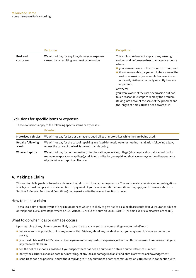<span id="page-22-0"></span>

|                              | <b>Exclusion</b>                                                                                  | <b>Exceptions</b>                                                                                                                                                                                                                                                                                                                             |
|------------------------------|---------------------------------------------------------------------------------------------------|-----------------------------------------------------------------------------------------------------------------------------------------------------------------------------------------------------------------------------------------------------------------------------------------------------------------------------------------------|
| <b>Rust and</b><br>corrosion | We will not pay for any loss, damage or expense<br>caused by or resulting from rust or corrosion. | This exclusion does not apply to any ensuing<br>sudden and unforeseen loss, damage or expense<br>where:<br>vou were unaware of the rust or corrosion; and<br>$\blacksquare$ it was reasonable for you not to be aware of the<br>rust or corrosion (for example because it was<br>not easily visible or had only recently become<br>apparent); |
|                              |                                                                                                   | or where:<br>you were aware of the rust or corrosion but had<br>taken reasonable steps to remedy the problem<br>(taking into account the scale of the problem and<br>the length of time you had been aware of it).                                                                                                                            |

# Exclusions for specific items or expenses

These exclusions apply to the following specific items or expenses:

|                                    | <b>Exlusion</b>                                                                                                                                                                                                                                                     |
|------------------------------------|---------------------------------------------------------------------------------------------------------------------------------------------------------------------------------------------------------------------------------------------------------------------|
| <b>Motorised vehicles</b>          | We will not pay for loss or damage to quad bikes or motorbikes while they are being used.                                                                                                                                                                           |
| <b>Repairs following</b><br>a leak | We will not pay for the cost of repairing any fixed domestic water or heating installation following a leak,<br>unless the cause of the leak is insured by this policy.                                                                                             |
| Wine and spirits                   | We will not pay for contamination, discolouration, recorking, ullage (shortage or shortfall caused by, for<br>example, evaporation or spillage), cork taint, oxidisation, unexplained shortages or mysterious disappearance<br>of your wine and spirits collection. |

# **4. Making a Claim**

This section tells **you** how to make a claim and what to do if **loss** or damage occurs. The section also contains various obligations which **you** must comply with as a condition of payment of **your** claim. Additional conditions may apply and these are shown in Section 5 (General Terms and Conditions) on page 44 and in the relevant section of cover.

# How to make a claim

To make a claim or to notify **us** of any circumstances which are likely to give rise to a claim please contact **your** insurance adviser or telephone **our** Claims Department on 020 7015 0919 or out of hours on 0808 123 0818 (or email **us** at claims@axa-art.co.uk).

# What to do when loss or damage occurs

Upon learning of any circumstances likely to give rise to a claim **you** or anyone acting on **your** behalf must:

- n tell **us** as soon as possible, but in any event within 30 days, about any incident which **you** may need to claim for under the policy;
- you must obtain AXA ART's prior written agreement to any costs or expenses, other than those incurred to reduce or mitigate any recoverable claim;
- n tell the police as soon as possible if **you** suspect there has been a crime and obtain a crime reference number;
- n notify the carrier as soon as possible, in writing, of any **loss** or damage in transit and obtain a written acknowledgement;
- n send **us** as soon as possible, and without replying to it, any summons or other communication **you** receive in connection with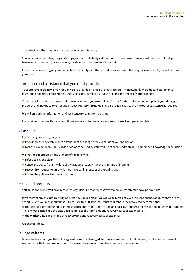any incident that may give rise to a claim under this policy.

**You** must not admit, deny, negotiate or pay a claim or liability without **our** written consent. **We** are entitled, but not obliged, to take over and deal with, in **your** name, the defence or settlement of any claim.

If **you** or anyone acting on **your** behalf fails to comply with these conditions and **we** suffer prejudice as a result, **we** will not pay **your** claim.

#### Information and assistance that you must provide

To support **your** claim **we** may require **you** to provide original purchase receipts, invoices, bank or credit card statements, instruction booklets, photographs, utility bills, pre-purchase surveys or plans and deeds of **your** property.

To assist **us** in dealing with **your** claim **we** may require **you** to obtain estimates for the replacement or repair of **your** damaged property and may need to enter and inspect **your premises**. **We** may also require **you** to provide other assistance as required.

**We** will only ask for information and assistance relevant to the claim.

If **you** fail to comply with these conditions and **we** suffer prejudice as a result **we** will not pay **your** claim.

#### False claims

If **you** or anyone acting for you:

- n knowingly or recklessly makes a fraudulent or exaggerated claim under **your** policy; or
- n makes a claim for any injury, **loss** or damage caused by **your** wilful act or caused with **your** agreement, knowledge or collusion.

**We** may at **our** option do one or more of the following:

- $\blacksquare$  refuse to pay the claim;
- $\blacksquare$  cancel the policy from the date of the fraudulent act, without any refund of premium;
- recover from **you** any sums which **we** have paid in respect of the claim; and
- $\blacksquare$  inform the police of the circumstances.

# Recovered property

**You** must notify **us** if **you** have recovered any of **your** property that was stolen or lost after **we** have paid a claim.

If **we** recover any of **your** property after **we** have paid a claim, **we** will write to **you** at **your** correspondence address shown in the **schedule** and **you** may repurchase it from **us** within 60 days. **You** must repurchase the recovered item for either:

- n the settled claim amount plus interest (calculated at the Bank of England base rate charged for the period between the date the claim was settled and the date **you** repurchase the item) plus any recovery costs or expenses; or
- the **market value** at the time of recovery and any recovery costs or expenses;

whichever is less.

## Salvage of items

Where **we** have paid **you** the full or **agreed value** of a damaged item **we** are entitled, but not obliged, to take possession and ownership of that item. **You** must not dispose of the item until **you** have **our** permission to do so.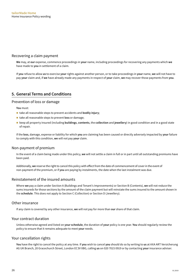# <span id="page-24-0"></span>Recovering a claim payment

**We** may, at **our** expense, commence proceedings in **your** name, including proceedings for recovering any payments which **we** have made to **you** in settlement of a claim.

If **you** refuse to allow **us** to exercise **your** rights against another person, or to take proceedings in **your** name, **we** will not have to pay **your** claim and, if **we** have already made any payments in respect of **your** claim, **we** may recover those payments from **you**.

# **5. General Terms and Conditions**

### Prevention of loss or damage

**You** must:

- take all reasonable steps to prevent accidents and **bodily injury**;
- take all reasonable steps to prevent **loss** or damage;
- n keep all property insured (including **buildings**, **contents**, the **collection** and **jewellery**) in good condition and in a good state of repair.

If the **loss**, damage, expense or liability for which **you** are claiming has been caused or directly adversely impacted by **your** failure to comply with this condition, **we** will not pay **your** claim.

# Non-payment of premium

In the event of a claim being made under this policy, **we** will not settle a claim in full or in part until all outstanding premiums have been paid.

Additionally, **we** reserve the right to cancel this policy with effect from the date of commencement of cover in the event of non-payment of the premium, or if **you** are paying by instalments, the date when the last instalment was due.

### Reinstatement of the insured amounts

Where **we** pay a claim under Section A (Buildings and Tenant's Improvements) or Section B (Contents), **we** will not reduce the sums insureds for those sections by the amount of the claim payment but will reinstate the sums insured to the amount shown in the **schedule**. This does not apply to Section C (Collection) or Section D (Jewellery).

# Other insurance

If any claim is covered by any other insurance, **we** will not pay for more than **our** share of that claim.

# Your contract duration

Unless otherwise agreed and listed on **your schedule**, the duration of **your** policy is one year. **You** should regularly review the policy to ensure that it remains adequate to meet **your** needs.

#### Your cancellation rights

**You** have the right to cancel the policy at any time. If **you** wish to cancel **you** should do so by writing to **us** at AXA ART Versicherung AG UK Branch, 20 Gracechurch Street, London EC3V 0BG, calling **us** on 020 7015 0919 or by contacting **your** insurance adviser.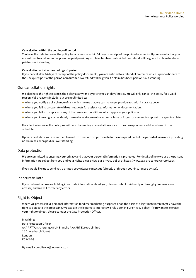#### <span id="page-25-0"></span>**Cancellation within the cooling-off period**

**You** have the right to cancel the policy for any reason within 14 days of receipt of the policy documents. Upon cancellation, **you** are entitled to a full refund of premium paid providing no claim has been submitted. No refund will be given if a claim has been paid or is outstanding.

#### **Cancellation outside the cooling-off period**

If **you** cancel after 14 days of receipt of the policy documents, **you** are entitled to a refund of premium which is proportionate to the unexpired part of the **period of insurance**. No refund will be given if a claim has been paid or is outstanding.

# Our cancellation rights

**We** also have the right to cancel the policy at any time by giving **you** 14 days' notice. **We** will only cancel the policy for a valid reason. Valid reasons include, but are not limited to:

- n where **you** notify **us** of a change of risk which means that **we** can no longer provide **you** with insurance cover;
- where **you** fail to co-operate with **our** requests for assistance, information or documentation;
- n where **you** fail to comply with any of the terms and conditions which apply to **your** policy; or
- n where **you** knowingly or recklessly make a false statement or submit a false or forged document in support of a genuine claim.

If **we** decide to cancel the policy **we** will do so by sending a cancellation notice to the correspondence address shown in the **schedule**.

Upon cancellation **you** are entitled to a return premium proportionate to the unexpired part of the **period of insurance** providing no claim has been paid or is outstanding.

#### Data protection

**We** are committed to ensuring **your** privacy and that **your** personal information is protected. For details of how **we** use the personal information **we** collect from **you** and **your** rights please view **our** privacy policy at [https://www.axa-art.com/uk/en/privacy.](https://www.axa-art.com/uk/en/privacy)

If **you** would like **us** to send you a printed copy please contact **us** (directly or through **your** insurance adviser).

#### Inaccurate Data

If **you** believe that **we** are holding inaccurate information about **you**, please contact **us** (directly or through **your** insurance adviser) and **we** will correct any errors.

# Right to Object

Where **we** process **your** personal information for direct marketing purposes or on the basis of a legitimate interest, **you** have the right to object to the processing. **We** explain the legitimate interests **we** rely upon in **our** privacy policy. If **you** want to exercise **your** right to object, please contact the Data Protection Officer.

In writing: Data Protection Officer AXA ART Versicherung AG UK Branch / AXA ART Europe Limited 20 Gracechurch Street London EC3V 0BG

By email: [compliance@axa-art.co.uk](mailto:compliance%40axa-art.co.uk?subject=)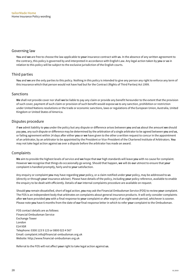# <span id="page-26-0"></span>Governing law

**You** and **we** are free to choose the law applicable to **your** insurance contract with **us**. In the absence of any written agreement to the contrary, this policy is governed by and interpreted in accordance with English Law. Any legal action taken by **you** or **us** in relation to this policy will be subject to the exclusive jurisdiction of the English courts.

# Third parties

**You** and **we** are the only parties to this policy. Nothing in this policy is intended to give any person any right to enforce any term of this insurance which that person would not have had but for the Contract (Rights of Third Parties) Act 1999.

# Sanctions

**We** shall not provide cover nor shall **we** be liable to pay any claim or provide any benefit hereunder to the extent that the provision of such cover, payment of such claim or provision of such benefit would expose **us** to any sanction, prohibition or restriction under United Nations resolutions or the trade or economic sanctions, laws or regulations of the European Union, Australia, United Kingdom or United States of America.

# Disputes procedure

If **we** admit liability to **you** under the policy but any dispute or difference arises between **you** and **us** about the amount **we** should pay **you**, any such dispute or difference may be determined by the arbitration of a single arbitrator to be agreed between **you** and **us**, or failing agreement within 14 days after either **you** or **we** have given to the other a written request to concur in the appointment of an arbitrator, by an arbitrator to be appointed by the President or Vice-President of the Chartered Institute of Arbitrators. **You** may not take legal action against **us** over a dispute before the arbitrator has made an award.

# Complaints

**We** aim to provide the highest levels of service and **we** hope that **our** high standards will leave **you** with no cause for complaint. However **we** recognise that things do occasionally go wrong. Should that happen, **we** will do **our** utmost to ensure that **your** complaint is handled promptly, fairly and to **your** satisfaction.

Any enquiry or complaint **you** may have regarding **your** policy, or a claim notified under **your** policy, may be addressed to **us** (directly or through **your** insurance adviser). Please have details of the policy, including **your** policy reference, available to enable the enquiry to be dealt with efficiently. Details of **our** internal complaints procedure are available on request.

Should **you** remain dissatisfied, short of legal action, **you** may ask the Financial Ombudsman Service (FOS) to review **your** complaint. The FOS is an independent body that arbitrates on complaints about general insurance products. It will only consider complaints after **we** have provided **you** with a final response to **your** complaint or after expiry of an eight week period, whichever is sooner. Please note **you** have 6 months from the date of **our** final response letter in which to refer **your** complaint to the Ombudsman.

FOS contact details are as follows: Financial Ombudsman Service Exchange Tower London E14 9SR Telephone: 0300 123 9 123 or 0800 023 4 567 Email: complaint.info@financial-ombudsman.org.uk Website: http://www.financial-ombudsman.org.uk

Referral to the FOS will not affect **your** right to take legal action against **us**.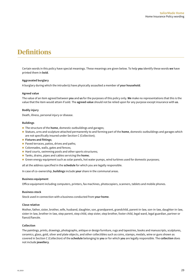# <span id="page-27-0"></span>**Definitions**

Certain words in this policy have special meanings. These meanings are given below. To help **you** identify these words **we** have printed them in **bold**.

#### **Aggravated burglary**

A burglary during which the intruder(s) have physically assaulted a member of **your household**.

#### **Agreed value**

The value of an item agreed between **you** and **us** for the purposes of this policy only. **We** make no representations that this is the value that the item would attain if sold. The **agreed value** should not be relied upon for any purpose except insurance with **us**.

#### **Bodily injury**

Death, illness, personal injury or disease.

#### **Buildings**

- The structure of the **home**, domestic outbuildings and garages;
- n Statues, urns and sculpture attached permanently to and forming part of the **home**, domestic outbuildings and garages which are not specifically insured under Section C (Collection);
- **Fixtures and fittings;**
- Paved terraces, patios, drives and paths;
- Colonnades, walls, gates and fences;
- Hard courts, swimming pools and other sports structures;
- Tanks, drains, pipes and cables servicing the **home**;
- **n** Green energy equipment such as solar panels, hot water pumps, wind turbines used for domestic purposes;

all at the address specified in the **schedule** for which you are legally responsible.

In case of co-ownership, **buildings** include **your** share in the communal areas.

#### **Business equipment**

Office equipment including computers, printers, fax machines, photocopiers, scanners, tablets and mobile phones.

#### **Business stock**

Stock used in connection with a business conducted from **your home**.

#### **Close relative**

Mother, father, sister, brother, wife, husband, daughter, son, grandparent, grandchild, parent-in-law, son-in-law, daughter-in-law, sister-in-law, brother-in-law, step parent, step child, step sister, step brother, foster child, legal ward, legal guardian, partner or fiancé/fiancée.

#### **Collection**

The paintings, prints, drawings, photographs, antique or design furniture, rugs and tapestries, books and manuscripts, sculptures, ceramics, glass, gold, silver and plate objects, and other collectibles such as coins, stamps, medals, wine or guns shown as covered in Section C (Collection) of the **schedule** belonging to **you** or for which **you** are legally responsible. The **collection** does not include **jewellery**.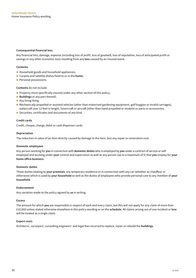#### **Consequential financial loss**

Any financial loss, damage, expense (including loss of profit, loss of goodwill, loss of reputation, loss of anticipated profit or savings or any other economic loss) resulting from any **loss** caused by an insured event.

#### **Contents**

- Household goods and household appliances;
- Carpets and satellite dishes fixed to or in the **home**;
- **Personal possessions.**

#### **Contents** do not include:

- Property more specifically insured under any other section of this policy;
- **E** Buildings or any part thereof;
- Any living thing;
- n Mechanically propelled or assisted vehicles (other than motorised gardening equipment, golf buggies or invalid carriages), watercraft over 12 feet in length, hovercraft or aircraft (other than hand propelled or models) or parts or accessories;
- Securities, certificates and documents of any kind.

#### **Credit cards**

Credit, cheque, charge, debit or cash dispenser cards.

#### **Depreciation**

The reduction in value of an item directly caused by damage to the item, less any repair or restoration cost.

#### **Domestic employees**

Any person working for **you** in connection with **domestic duties** who is employed by **you** under a contract of service or selfemployed and working under **your** control and supervision as well as any person (up to a maximum of 5) that **you** employ for **your home office business**.

#### **Domestic duties**

Those duties relating to **your premises**, any temporary residence or in connection with any car (whether as chauffeur or otherwise) which is used by **your household** as well as the duties of employees who provide personal care to any member of **your household**.

#### **Endorsement**

Any variation made to the policy agreed by **us** in writing.

#### **Excess**

The amount for which **you** are responsible in respect of each and every claim, but this will not apply for any claim of more than £10,000 unless stated otherwise elsewhere in this policy wording or on the **schedule**. All claims arising out of one incident or **loss** will be treated as a single claim.

#### **Expert costs**

Architects', surveyors', consulting engineers' and legal fees incurred to replace, repair or rebuild the **buildings**.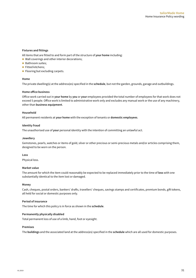#### **Fixtures and fittings**

All items that are fitted to and form part of the structure of **your home** including:

- $\blacksquare$  Wall coverings and other interior decorations;
- Bathroom suites;
- Fitted kitchens;
- $\blacksquare$  Flooring but excluding carpets.

#### **Home**

The private dwelling(s) at the address(es) specified in the **schedule**, but not the garden, grounds, garage and outbuildings.

#### **Home office business**

Office work carried out in **your home** by **you** or **your** employees provided the total number of employees for that work does not exceed 5 people. Office work is limited to administrative work only and excludes any manual work or the use of any machinery, other than **business equipment**.

#### **Household**

All permanent residents at **your home** with the exception of tenants or **domestic employees**.

#### **Identity fraud**

The unauthorised use of **your** personal identity with the intention of committing an unlawful act.

#### **Jewellery**

Gemstones, pearls, watches or items of gold, silver or other precious or semi-precious metals and/or articles comprising them, designed to be worn on the person.

#### **Loss**

Physical loss.

#### **Market value**

The amount for which the item could reasonably be expected to be replaced immediately prior to the time of **loss** with one substantially identical to the item lost or damaged.

#### **Money**

Cash, cheques, postal orders, bankers' drafts, travellers' cheques, savings stamps and certificates, premium bonds, gift tokens, all held for social or domestic purposes only.

#### **Period of insurance**

The time for which this policy is in force as shown in the **schedule**.

#### **Permanently physically disabled**

Total permanent loss of use of a limb, hand, foot or eyesight.

#### **Premises**

The **buildings** and the associated land at the address(es) specified in the **schedule** which are all used for domestic purposes.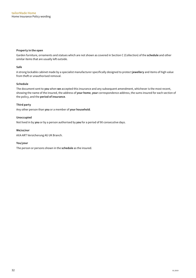#### **Property in the open**

Garden furniture, ornaments and statues which are not shown as covered in Section C (Collection) of the **schedule** and other similar items that are usually left outside.

#### **Safe**

A strong lockable cabinet made by a specialist manufacturer specifically designed to protect **jewellery** and items of high value from theft or unauthorised removal.

#### **Schedule**

The document sent to **you** when **we** accepted this insurance and any subsequent amendment, whichever is the most recent, showing the name of the insured, the address of **your home**, **your** correspondence address, the sums insured for each section of the policy, and the **period of insurance**.

#### **Third party**

Any other person than **you** or a member of **your household**.

#### **Unoccupied**

Not lived in by **you** or by a person authorised by **you** for a period of 90 consecutive days.

#### **We/us/our**

AXA ART Versicherung AG UK Branch.

#### **You/your**

The person or persons shown in the **schedule** as the insured.